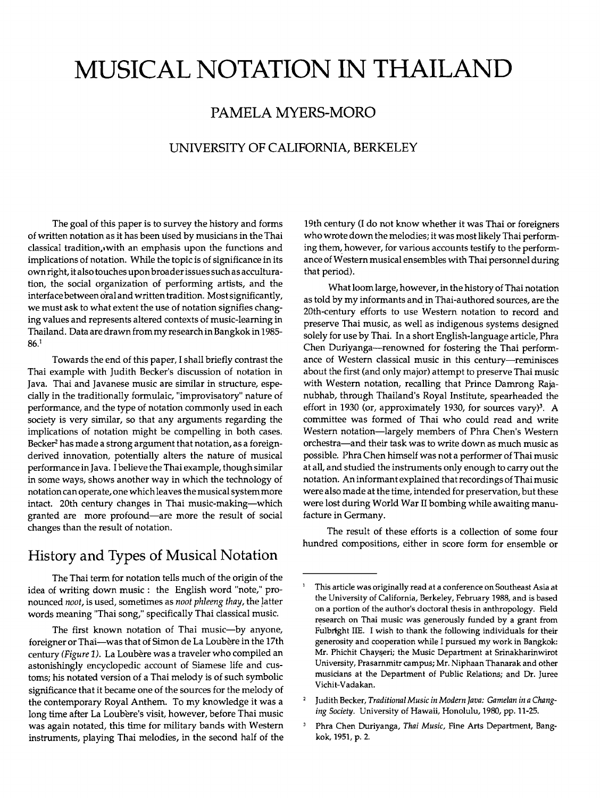# **MUSICAL NOTATION IN THAILAND**

#### PAMELA MYERS-MORO

#### UNIVERSITY OF CALIFORNIA, BERKELEY

The goal of this paper is to survey the history and forms of written notation as it has been tised by musicians in the Thai classical tradition, with an emphasis upon the functions and implications of notation. While the topic is of significance in its own right, it also touches upon broader issues such as acculturation, the social organization of performing artists, and the interface between oral and written tradition. Most significantly, we must ask to what extent the use of notation signifies changing values and represents altered contexts of music-learning in Thailand. Data are drawn from my research in Bangkok in 1985- 86.1

Towards the end of this paper, I shall briefly contrast the Thai example with Judith Becker's discussion of notation in Java. Thai and Javanese music are similar in structure, especially in the traditionally formulaic, "improvisatory" nature of performance, and the type of notation commonly used in each society is very similar, so that any arguments regarding the implications of notation might be compelling in both cases. Becker<sup>2</sup> has made a strong argument that notation, as a foreignderived innovation, potentially alters the nature of musical performance in Java. I believe the Thai example, though similar in some ways, shows another way in which the technology of notation can operate, one which leaves the musical system more intact. 20th century changes in Thai music-making-which granted are more profound-are more the result of social changes than the result of notation.

## History and Types of Musical Notation

The Thai term for notation tells much of the origin of the idea of writing down music : the English word "note," pronounced *noot,* is used, sometimes as *noot phleeng thay,* the 1atter words meaning "Thai song," specifically Thai classical music.

The first known notation of Thai music-by anyone, foreigner or Thai-was that of Simon de La Loubère in the 17th century (Figure 1). La Loubère was a traveler who compiled an astonishingly encyclopedic account of Siamese life and customs; his notated version of a Thai melody is of such symbolic significance that it became one of the sources for the melody of the contemporary Royal Anthem. To my knowledge it was a long time after La Loubere's visit, however, before Thai music was again notated, this time for military bands with Western instruments, playing Thai melodies, in the second half of the 19th century (I do not know whether it was Thai or foreigners who wrote down the melodies; it was most likely Thai performing them, however, for various accounts testify to the performance of Western musical ensembles with Thai personnel during that period).

What loom large, however, in the history of Thai notation as told by my informants and in Thai-authored sources, are the 20th-century efforts to use Western. notation to record and preserve Thai music, as well as indigenous systems designed solely for use by Thai. In a short English-language article, Phra Chen Duriyanga-renowned for fostering the Thai performance of Western classical music in this century-reminisces about the first (and only major) attempt to preserve Thai music with Western notation, recalling that Prince Damrong Rajanubhab, through Thailand's Royal Institute, spearheaded the effort in 1930 (or, approximately 1930, for sources vary)<sup>3</sup>. A committee was formed of Thai who could read and write Western notation-largely members of Phra Chen's Western orchestra-and their task was to write down as much music as possible. Phra Chen himself was not a performer of Thai music at all, and studied the instruments only enough to carry out the notation. An informant explained that recordings of Thai music were also made at the time, intended for preservation, but these were lost during World War II bombing while awaiting manufacture in Germany.

The result of these efforts is a collection of some four hundred compositions, either in score form for ensemble or

2 Judith Becker, *Traditional Music in Modern Java: Gamelan in a Changing Society.* University of Hawaii, Honolulu, 1980, pp. 11-25.

<sup>1</sup> This article was originally read at a conference on Southeast Asia at the University of California, Berkeley, February 1988, and is based on a portion of the author's doctoral thesis in anthropology. Field research on Thai music was generously funded by a grant from Fulbright liE. I wish to thank the following individuals for their generosity and cooperation while I pursued my work in Bangkok: Mr. Phichit Chayşeri; the Music Department at Srinakharinwirot University, Prasammitr campus; Mr. Niphaan Thanarak and other musicians at the Department of Public Relations; and Dr. Juree Vichit-Vadakan.

<sup>3</sup> Phra Chen Duriyanga, *Thai Music,* Fine Arts Department, Bangkok, 1951, p. 2.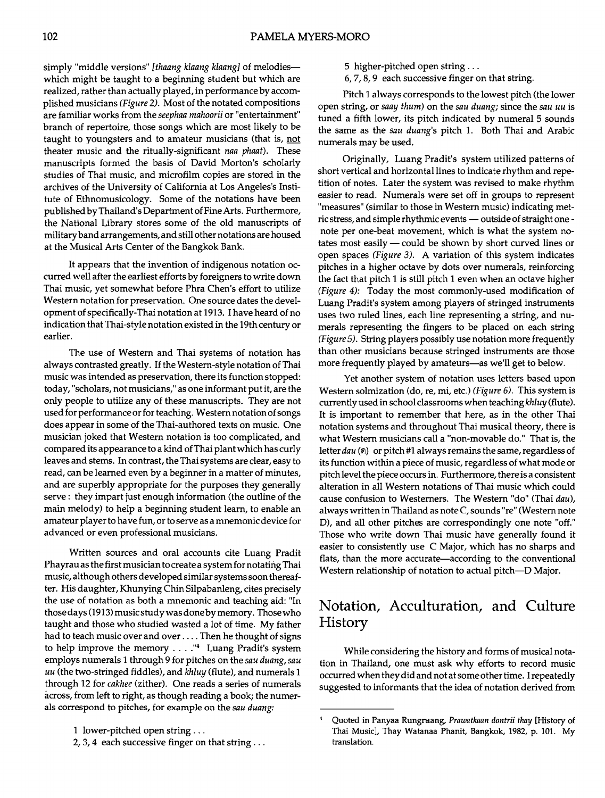simply "middle versions" *[thaang klaang klaang]* of melodieswhich might be taught to a beginning student but which are realized, rather than actually played, in performance by accomplished musicians *(Figure 2).* Most of the notated compositions are familiar works from the *seephaa mahoorii* or "entertainment" branch of repertoire, those songs which are most likely to be taught to youngsters and to amateur musicians (that is, not theater music and the ritually-significant *naa phaat).* These manuscripts formed the basis of David Morton's scholarly studies of Thai music, and microfilm copies are stored in the archives of the University of California at Los Angeles's Institute of Ethnomusicology. Some of the notations have been published by Thailand's Department of Fine Arts. Furthermore, the National Library stores some of the old manuscripts of military band arrangements, and still other notations are housed at the Musical Arts Center of the Bangkok Bank.

It appears that the invention of indigenous notation occurred well after the earliest efforts by foreigners to write down Thai music, yet somewhat before Phra Chen's effort to utilize Western notation for preservation. One source dates the development of specifically-Thai notation at 1913. I have heard of no indication that Thai-style notation existed in the 19th century or earlier.

The use of Western and Thai systems of notation has always contrasted greatly. If the Western-style notation of Thai music was intended as preservation, there its function stopped: today, "scholars, not musicians," as one informant put it, are the only people to utilize any of these manuscripts. They are not used for performance or for teaching. Western notation of songs does appear in some of the Thai-authored texts on music. One musician joked that Western notation is too complicated, and compared its appearance to a kind of Thai plant which has curly leaves and stems. In contrast, the Thai systems are clear, easy to read, can be learned even by a beginner in a matter of minutes, and are superbly appropriate for the purposes they generally serve : they impart just enough information (the outline of the main melody) to help a beginning student learn, to enable an amateur player to have fun, or to serve as a mnemonic device for advanced or even professional musicians.

Written sources and oral accounts cite Luang Pradit Phayrau as the first musician to create a system for notating Thai music, although others developed similar systems soon thereafter. His daughter, Khunying Chin Silpabanleng, cites precisely the use of notation as both a mnemonic and teaching aid: "In those days (1913) music study was done by memory. Those who taught and those who studied wasted a lot of time. My father had to teach music over and over .... Then he thought of signs to help improve the memory . . . ."<sup>4</sup> Luang Pradit's system employs numerals 1 through 9 for pitches on the *sau duang, sau uu* (the two-stringed fiddles), and *khluy* (flute), and numerals 1 through 12 for *cakhee* (zither). One reads a series of numerals across, from left to right, as though reading a book; the numerals correspond to pitches, for example on the *sau duang:* 

5 higher-pitched open string ...

6, 7, 8, 9 each successive finger on that string.

Pitch 1 always corresponds to the lowest pitch (the lower open string, or *saay thum)* on the *sau duang;* since the *sau uu* is tuned a fifth lower, its pitch indicated by numeral 5 sounds the same as the *sau duang's* pitch 1. Both Thai and Arabic numerals may be used.

Originally, Luang Pradit's system utilized patterns of short vertical and horizontal lines to indicate rhythm and repetition of notes. Later the system was revised to make rhythm easier to read. Numerals were set off in groups to represent "measures" (similar to those in Western music) indicating metric stress, and simple rhythmic events - outside of straight one note per one-beat movement, which is what the system notates most easily - could be shown by short curved lines or open spaces *(Figure 3).* A variation of this system indicates pitches in a higher octave by dots over numerals, reinforcing the fact that pitch 1 is still pitch 1 even when an octave higher *(Figure 4):* Today the most commonly-used modification of Luang Pradit's system among players of stringed instruments uses two ruled lines, each line representing a string, and numerals representing the fingers to be placed on each string *(Figure 5).* String players possibly use notation more frequently than other musicians because stringed instruments are those more frequently played by amateurs-as we'll get to below.

Yet another system of notation uses letters based upon Western solmization (do, re, mi, etc.) *(Figure 6).* This system is currently used in school classrooms when teaching *khluy* (flute). It is important to remember that here, as in the other Thai notation systems and throughout Thai musical theory, there is what Western musicians call a "non-movable do." That is, the letter *dau* ( $\emptyset$ ) or pitch #1 always remains the same, regardless of its function within a piece of music, regardless of what mode or pitch level the piece occurs in. Furthermore, there is a consistent alteration in all Western notations of Thai music which could cause confusion to Westerners. The Western "do" (Thai *dau),*  always written in Thailand as note C, sounds "re" (Western note D), and all other pitches are correspondingly one note "off." Those who write down Thai music have generally found it easier to consistently use C Major, which has no sharps and flats, than the more accurate—according to the conventional Western relationship of notation to actual pitch--D Major.

## **Notation, Acculturation, and Culture History**

While considering the history and forms of musical notation in Thailand, one must ask why efforts to record music occurred when they did and not at some other time. I repeatedly suggested to informants that the idea of notation derived from

<sup>1</sup> lower-pitched open string ...

<sup>2, 3, 4</sup> each successive finger on that string  $\dots$ 

Quoted in Panyaa Rungruang, Prawatkaan dontrii thay [History of Thai Music], Thay Watanaa Phanit, Bangkok, 1982, p. 101. My translation.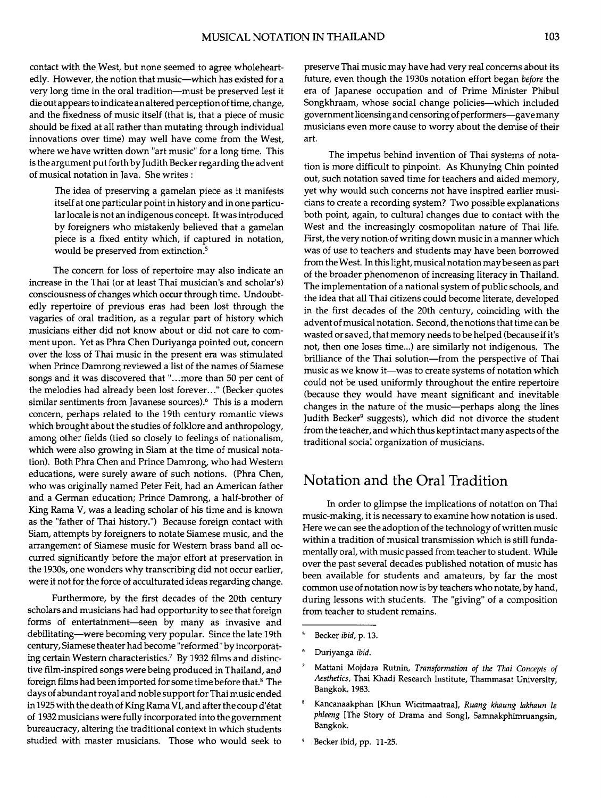contact with the West, but none seemed to agree wholeheartedly. However, the notion that music-which has existed for a very long time in the oral tradition-must be preserved lest it die out appears to indicate an altered perception of time, change, and the fixedness of music itself (that is, that a piece of music should be fixed at all rather than mutating through individual innovations over time) may well have come from the West, where we have written down "art music" for a long time. This is the argument put forth by Judith Becker regarding the advent of musical notation in Java. She writes :

> The idea of preserving a gamelan piece as it manifests itself at one particular point in history and in one particular locale is not an indigenous concept. It was introduced by foreigners who mistakenly believed that a gamelan piece is a fixed entity which, if captured in notation, would be preserved from extinction.5

The concern for loss of repertoire may also indicate an increase in the Thai (or at least Thai musician's and scholar's) consciousness of changes which occur through time. Undoubtedly repertoire of previous eras had been lost through the vagaries of oral tradition, as a regular part of history which musicians either did not know about or did not care to comment upon. Yet as Phra Chen Duriyanga pointed out, concern over the loss of Thai music in the present era was stimulated when Prince Damrong reviewed a list of the names of Siamese songs and it was discovered that "...more than 50 per cent of the melodies had already been lost forever..." (Becker quotes similar sentiments from Javanese sources).<sup>6</sup> This is a modern concern, perhaps related to the 19th century romantic views which brought about the studies of folklore and anthropology, among other fields (tied so closely to feelings of nationalism, which were also growing in Siam at the time of musical notation). Both Phra Chen and Prince Damrong, who had Western educations, were surely aware of such notions. (Phra Chen, who was originally named Peter Feit, had an American father and a German education; Prince Damrong, a half-brother of King Rama V, was a leading scholar of his time and is known as the "father of Thai history.") Because foreign contact with Siam, attempts by foreigners to notate Siamese music, and the arrangement of Siamese music for Western brass band all occurred significantly before the major effort at preservation in the 1930s, one wonders why transcribing did not occur earlier, were it not for the force of acculturated ideas regarding change.

Furthermore, by the first decades of the 20th century scholars and musicians had had opportunity to see that foreign forms of entertainment-seen by many as invasive and debilitating-were becoming very popular. Since the late 19th century, Siamese theater had become "reformed" by incorporating certain Western characteristics? By 1932 films and distinctive film-inspired songs were being produced in Thailand, and foreign films had been imported for some time before that.8 The days of abundant royal and noble support for Thai music ended in 1925 with the death of King Rama VI, and after the coup d'etat of 1932 musicians were fully incorporated into the government bureaucracy, altering the traditional context in which students studied with master musicians. Those who would seek to

preserve Thai music may have had very real concerns about its future, even though the 1930s notation effort began *before* the era of Japanese occupatien and of Prime Minister Phibul Songkhraam, whose social change policies-which included government licensing and censoring of performers-gave many musicians even more cause to worry about the demise of their art.

The impetus behind invention of Thai systems of notation is more difficult to pinpoint. As Khunying Chin pointed out, such notation saved time for teachers and aided memory, yet why would such concerns not have inspired earlier musicians to create a recording system? Two possible explanations both point, again, to cultural changes due to contact with the West and the increasingly cosmopolitan nature of Thai life. First, the very notion-of writing down music in a manner which was of use to teachers and students may have been borrowed from the West. In this light, musical notation may be seen as part of the broader phenomenon of increasing literacy in Thailand. The implementation of a national system of public schools, and the idea that all Thai citizens could become literate, developed in the first decades of the 20th century, coinciding with the advent of musical notation. Second, the notions that time can be wasted or saved, that memory needs to be helped (because if it's not, then one loses time...) are similarly not indigenous. The brilliance of the Thai solution-from the perspective of Thai music as we know it—was to create systems of notation which could not be used uniformly throughout the entire repertoire (because they would have meant significant and inevitable changes in the nature of the music-perhaps along the lines Judith Becker<sup>9</sup> suggests), which did not divorce the student from the teacher, and which thus kept intact many aspects of the traditional social organization of musicians.

#### Notation and the Oral Tradition

In order to glimpse the implications of notation on Thai music-making, it is necessary to examine how notation is used. Here we can see the adoption of the technology of written music within a tradition of musical transmission which is still fundamentally oral, with music passed from teacher to student. While over the past several decades published notation of music has been available for students and amateurs, by far the most common use of notation now is by teachers who notate, by hand, during lessons with students. The "giving" of a composition from teacher to student remains.

<sup>5</sup> Becker *ibid,* p. 13.

<sup>6</sup> Duriyanga *ibid.* 

*<sup>7</sup>*Mattani Mojdara Rutnin, *Transformation of the* Thai *Concepts of Aesthetics,* Thai Khadi Research Institute, Thammasat University, Bangkok, 1983.

<sup>8</sup> Kancanaakphan [Khun Wicitmaatraa], *Ruang khaung lakhaun le phleeng* [The Story of Drama and Song], Samnakphimruangsin, Bangkok.

Becker ibid, pp. 11-25.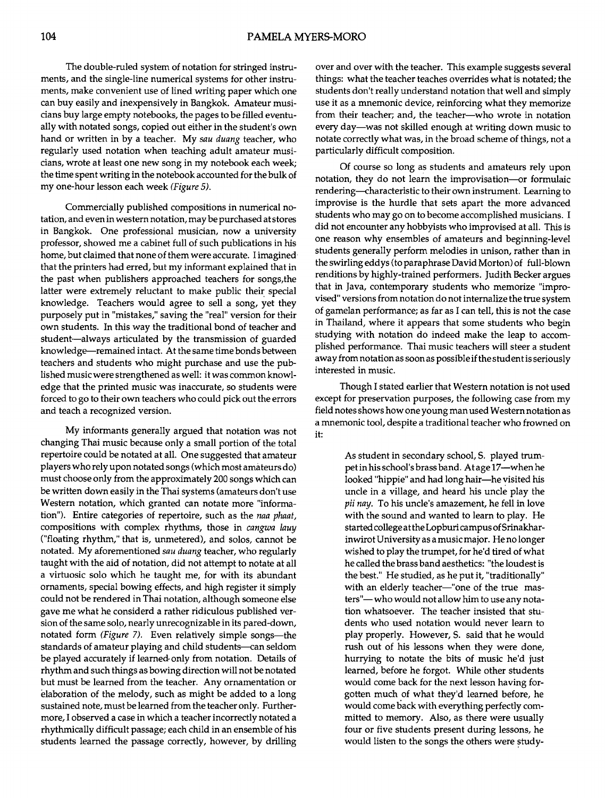The double-ruled system of notation for stringed instruments, and the single-line numerical systems for other instruments, make convenient use of lined writing paper which one can buy easily and inexpensively in Bangkok. Amateur musicians buy large empty notebooks, the pages to be filled eventually with notated songs, copied out either in the student's own hand or written in by a teacher. My *sau duang* teacher, who regularly used notation when teaching adult amateur musicians, wrote at least one new song in my notebook each week; the time spent writing in the notebook accounted for the bulk of my one-hour lesson each week *(Figure 5).* 

Commercially published compositions in numerical notation, and even in western notation, may be purchased at stores in Bangkok. One professional musician, now a university professor, showed me a cabinet full of such publications in his home, but claimed that none of them were accurate. I imagined that the printers had erred, but my informant explained that in the past when publishers approached teachers for songs,the latter were extremely reluctant to make public their special knowledge. Teachers would agree to sell a song, yet they purposely put in "mistakes," saving the "real" version for their own students. In this way the traditional bond of teacher and student-always articulated by the transmission of guarded knowledge-remained intact. At the same time bonds between teachers and students who might purchase and use the published music were strengthened as well: it was common knowledge that the printed music was inaccurate, so students were forced to go to their own teachers who could pick out the errors and teach a recognized version.

My informants generally argued that notation was not changing Thai music because only a small portion of the total repertoire could be notated at all. One suggested that amateur players who rely upon notated songs (which most amateurs do) must choose only from the approximately 200 songs which can be written down easily in the Thai systems (amateurs don't use Western notation, which granted can notate more "information"). Entire categories of repertoire, such as the *naa phaat,*  compositions with complex rhythms, those in *cangwa lauy*  ("floating rhythm," that is, unmetered), and solos, cannot be notated. My aforementioned *sau duang* teacher, who regularly taught with the aid of notation, did not attempt to notate at all a virtuosic solo which he taught me, for with its abundant ornaments, special bowing effects, and high register it simply could not be rendered in Thai notation, although someone else gave me what he considerd a rather ridiculous published version of the same solo, nearly unrecognizable in its pared-down, notated form *(Figure 7)*. Even relatively simple songs-the standards of amateur playing and child students-can seldom be played accurately if learned· only from notation. Details of rhythm and such things as bowing direction will not be notated but must be learned from the teacher. Any ornamentation or elaboration of the melody, such as might be added to a long sustained note, must be learned from the teacher only. Furthermore, I observed a case in which a teacher incorrectly notated a rhythmically difficult passage; each child in an ensemble of his students learned the passage correctly, however, by drilling

over and over with the teacher. This example suggests several things: what the teacher teaches overrides what is notated; the students don't really understand notation that well and simply use it as a mnemonic device, reinforcing what they memorize from their teacher; and, the teacher-who wrote in notation every day-was not skilled enough at writing down music to notate correctly what was, in the broad scheme of things, not a particularly difficult composition.

Of course so long as students and amateurs rely upon notation, they do not learn the improvisation-or formulaic rendering-characteristic to their own instrument. Learning to improvise is the hurdle that sets apart the more advanced students who may go on to become accomplished musicians. I did not encounter any hobbyists who improvised at all. This is one reason why ensembles of amateurs and beginning-level students generally perform melodies in unison, rather than in the swirling eddys (to paraphrase David Morton) of full-blown renditions by highly-trained performers. Judith Becker argues that in Java, contemporary students who memorize "improvised" versions from notation do not internalize the true system of gamelan performance; as far as I can tell, this is not the case in Thailand, where it appears that some students who begin studying with notation do indeed make the leap to accomplished performance. Thai music teachers will steer a student away from notation as soon as possible if the student is seriously interested in music.

Though I stated earlier that Western notation is not used except for preservation purposes, the following case from my field notes shows how one young man used Western notation as a mnemonic tool, despite a traditional teacher who frowned on it:

> As student in secondary school, S. played trumpet in his school's brass band. At age 17-when he looked "hippie" and had long hair-he visited his uncle in a village, and heard his uncle play the *pii nay.* To his uncle's amazement, he fell in love with the sound and wanted to learn to play. He started college at the Lopburi campus of Srinakharinwirot University as a music major. He no longer wished to play the trumpet, for he'd tired of what he called the brass band aesthetics: "the loudest is the best." He studied, as he put it, "traditionally" with an elderly teacher-"one of the true masters"-who would not allow him to use any notation whatsoever. The teacher insisted that students who used notation would never learn to play properly. However, S. said that he would rush out of his lessons when they were done, hurrying to notate the bits of music he'd just learned, before he forgot. While other students would come back for the next lesson having forgotten much of what they'd learned before, he would come back with everything perfectly committed to memory. Also, as there were usually four or five students present during lessons, he would listen to the songs the others were study-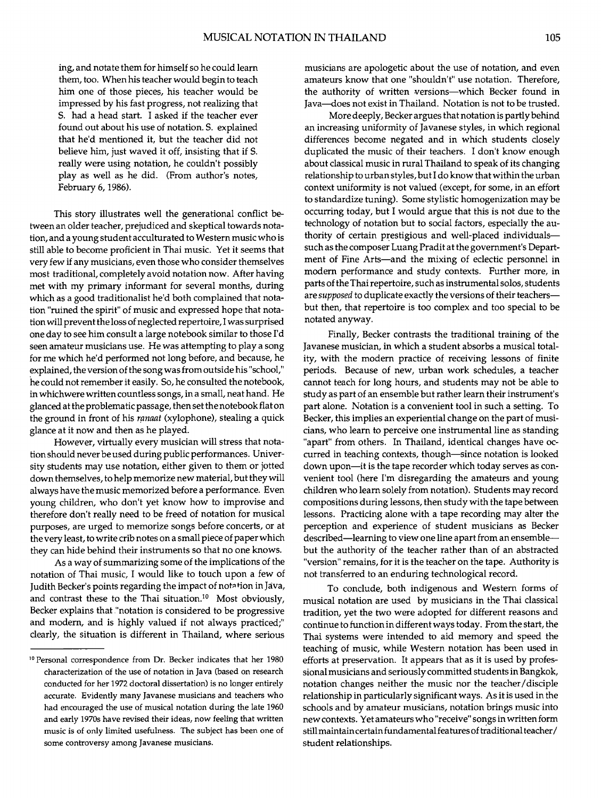ing, and notate them for himself so he could learn them, too. When his teacher would begin to teach him one of those pieces, his teacher would be impressed by his fast progress, not realizing that S. had a head start. I asked if the teacher ever found out about his use of notation. S. explained that he'd mentioned it, but the teacher did not believe him, just waved it off, insisting that if S. really were using notation, he couldn't possibly play as well as he did. (From author's notes, February 6, 1986).

This story illustrates well the generational conflict between an older teacher, prejudiced and skeptical towards notation, and a young student acculturated to Western music who is still able to become proficient in Thai music. Yet it seems that very few if any musicians, even those who consider themselves most traditional, completely avoid notation now. After having met with my primary informant for several months, during which as a good traditionalist he'd both complained that notation "ruined the spirit" of music and expressed hope that notation will prevent the loss of neglected repertoire, I was surprised one day to see him consult a large notebook similar to those I'd seen amateur musicians use. He was attempting to play a song for me which he'd performed not long before, and because, he explained, the version of the song was from outside his "school," he could not remember it easily. So, he consulted the notebook, in which were written countless songs, in a small, neat hand. He glanced at the problematic passage, then set the notebook flat on the ground in front of his ranaat (xylophone), stealing a quick glance at it now and then as he played.

However, virtually every musician will stress that notation should never be used during public performances. University students may use notation, either given to them or jotted down themselves, to help memorize new material, but they will always have the music memorized before a performance. Even young children, who don't yet know how to improvise and therefore don't really need to be freed of notation for musical purposes, are urged to memorize songs before concerts, or at the very least, to write crib notes on a small piece of paper which they can hide behind their instruments so that no one knows.

As a way of summarizing some of the implications of the notation of Thai music, I would like to touch upon a few of Judith Becker's points regarding the impact of notation in Java, and contrast these to the Thai situation.<sup>10</sup> Most obviously, Becker explains that "notation is considered to be progressive and modern, and is highly valued if not always practiced;" clearly, the situation is different in Thailand, where serious

musicians are apologetic about the use of notation, and even amateurs know that one "shouldn't" use notation. Therefore, the authority of written versions-which Becker found in Java-does not exist in Thailand. Notation is not to be trusted.

More deeply, Becker argues that notation is partly behind an increasing uniformity of Javanese styles, in which regional differences become negated and in which students closely duplicated the music of their teachers. I don't know enough about classical music in rural Thailand to speak of its changing relationship to urban styles, but I do know that within the urban context uniformity is not valued (except, for some, in an effort to standardize tuning). Some stylistic homogenization may be occurring today, but I would argue that this is not due to the technology of notation but to social factors, especially the authority of certain prestigious and well-placed individualssuch as the composer Luang Pradit at the government's Department of Fine Arts-and the mixing of eclectic personnel in modern performance and study contexts. Further more, in parts of the Thai repertoire, such as instrumental solos, students are *supposed* to duplicate exactly the versions of their teachersbut then, that repertoire is too complex and too special to be notated anyway.

Finally, Becker contrasts the traditional training of the Javanese musician, in which a student absorbs a musical totality, with the modern practice of receiving lessons of finite periods. Because of new, urban work schedules, a teacher cannot teach for long hours, and students may not be able to study as part of an ensemble but rather learn their instrument's part alone. Notation is a convenient tool in such a setting. To Becker, this implies an experiential change on the part of musicians, who learn to perceive one instrumental line as standing "apart" from others. In Thailand, identical changes have occurred in teaching contexts, though-since notation is looked down upon-it is the tape recorder which today serves as convenient tool (here I'm disregarding the amateurs and young children who learn solely from notation). Students may record compositions during lessons, then study with the tape between lessons. Practicing alone with a tape recording may alter the perception and experience of student musicians as Becker described-learning to view one line apart from an ensemblebut the authority of the teacher rather than of an abstracted "version" remains, for it is the teacher on the tape. Authority is not transferred to an enduring technological record.

To conclude, both indigenous and Western forms of musical notation are used by musicians in the Thai classical tradition, yet the two were adopted for different reasons and continue to function in different ways today. From the start, the Thai systems were intended to aid memory and speed the teaching of music, while Western notation has been used in efforts at preservation. It appears that as it is used by professional musicians and seriously committed students in Bangkok, notation changes neither the music nor the teacher/disciple relationship in particularly significant ways. As it is used in the schools and by amateur musicians, notation brings music into new contexts. Yet amateurs who "receive" songs in written form still maintain certain fundamental features of traditional teacher/ student relationships.

<sup>10</sup> Personal correspondence from Dr. Becker indicates that her 1980 characterization of the use of notation in Java (based on research conducted for her 1972 doctoral dissertation) is no longer entirely accurate. Evidently many Javanese musicians and teachers who had encouraged the use of musical notation during the late 1960 and early 1970s have revised their ideas, now feeling that written music is of only limited usefulness. The subject has been one of some controversy among Javanese musicians.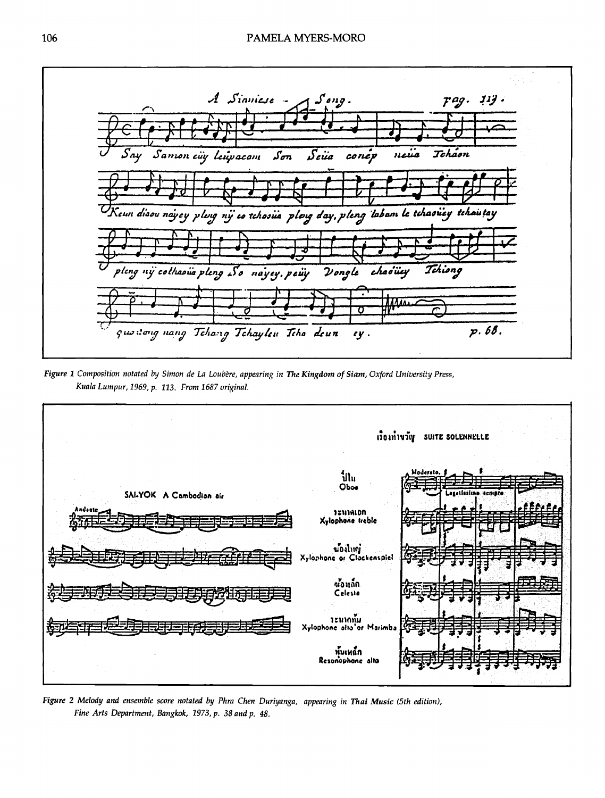

Figure 1 Composition notated by Simon de La Loubère, appearing in The Kingdom of Siam, Oxford University Press, Kuala Lumpur, 1969, p. 113. From 1687 original.



Figure 2 Melody and ensemble score notated by Phra Chen Duriyanga, appearing in Thai Music (5th edition), Fine Arts Department, Bangkok, 1973, p. 38 and p. 48.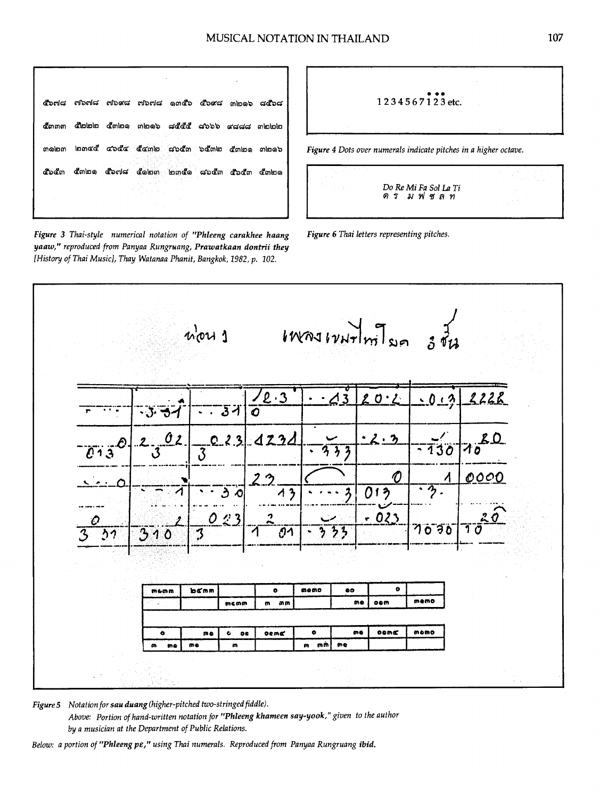

Figure 3 Thai-style numerical notation of "Phleeng carakhee haang yaaw," reproduced from Panyaa Rungruang, Prawatkaan dontrii they [History of Thai Music], Thay Watanaa Phanit, Bangkok, 1982, p. 102.

 $1234567123$  etc.

Figure 4 Dots over numerals indicate pitches in a higher octave.

$$
Do Re Mi Fa Sol La Ti
$$
  

$$
O \qquad 7 \qquad W \qquad 9 \qquad 8 \qquad N
$$

Figure 6 Thai letters representing pitches.



Figure 5 Notation for sau duang (higher-pitched two-stringed fiddle).

Above: Portion of hand-written notation for "Phleeng khameen say-yook," given to the author by a musician at the Department of Public Relations.

Below: a portion of "Phleeng pe," using Thai numerals. Reproduced from Panyaa Rungruang ibid.